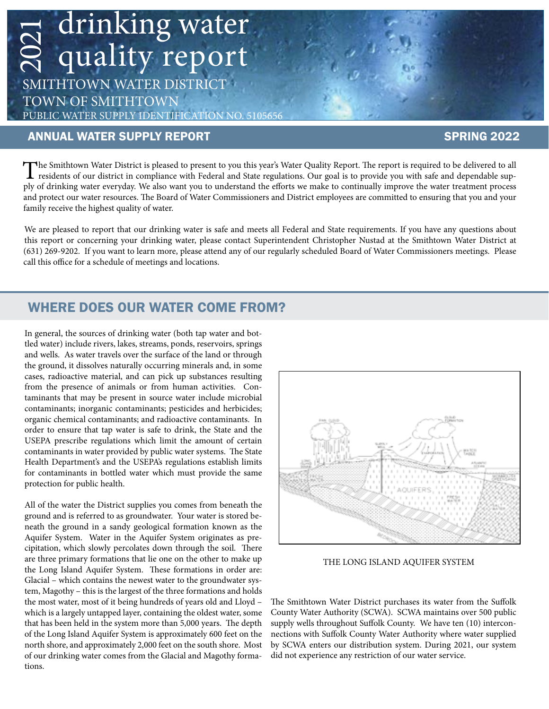# drinking water quality report 2021

SMITHTOWN WATER DISTRICT TOWN OF SMITHTOWN PUBLIC WATER SUPPLY IDENTIFICATION NO. 5105656

#### ANNUAL WATER SUPPLY REPORT SERVICE SERVICE SPRING 2022

The Smithtown Water District is pleased to present to you this year's Water Quality Report. The report is required to be delivered to all<br>residents of our district in compliance with Federal and State regulations. Our goal ply of drinking water everyday. We also want you to understand the efforts we make to continually improve the water treatment process and protect our water resources. The Board of Water Commissioners and District employees are committed to ensuring that you and your family receive the highest quality of water.

We are pleased to report that our drinking water is safe and meets all Federal and State requirements. If you have any questions about<br>this report or concerning your drinking water, please contact Superintendent Christophe We are pleased to report that our drinking water is safe and meets all Federal and State requirements. If you have any questions about (631) 269-9202. If you want to learn more, please attend any of our regularly scheduled Board of Water Commissioners meetings. Please call this office for a schedule of meetings and locations.

### WHERE DOES OUR WATER COME FROM?

In general, the sources of drinking water (both tap water and bottled water) include rivers, lakes, streams, ponds, reservoirs, springs and wells. As water travels over the surface of the land or through the ground, it dissolves naturally occurring minerals and, in some cases, radioactive material, and can pick up substances resulting from the presence of animals or from human activities. Contaminants that may be present in source water include microbial contaminants; inorganic contaminants; pesticides and herbicides; organic chemical contaminants; and radioactive contaminants. In order to ensure that tap water is safe to drink, the State and the USEPA prescribe regulations which limit the amount of certain contaminants in water provided by public water systems. The State Health Department's and the USEPA's regulations establish limits for contaminants in bottled water which must provide the same protection for public health.

All of the water the District supplies you comes from beneath the ground and is referred to as groundwater. Your water is stored beneath the ground in a sandy geological formation known as the Aquifer System. Water in the Aquifer System originates as precipitation, which slowly percolates down through the soil. There are three primary formations that lie one on the other to make up the Long Island Aquifer System. These formations in order are: Glacial – which contains the newest water to the groundwater system, Magothy – this is the largest of the three formations and holds the most water, most of it being hundreds of years old and Lloyd – which is a largely untapped layer, containing the oldest water, some that has been held in the system more than 5,000 years. The depth of the Long Island Aquifer System is approximately 600 feet on the north shore, and approximately 2,000 feet on the south shore. Most of our drinking water comes from the Glacial and Magothy formations.



THE LONG ISLAND AQUIFER SYSTEM

The Smithtown Water District purchases its water from the Suffolk County Water Authority (SCWA). SCWA maintains over 500 public supply wells throughout Suffolk County. We have ten (10) interconnections with Suffolk County Water Authority where water supplied by SCWA enters our distribution system. During 2021, our system did not experience any restriction of our water service.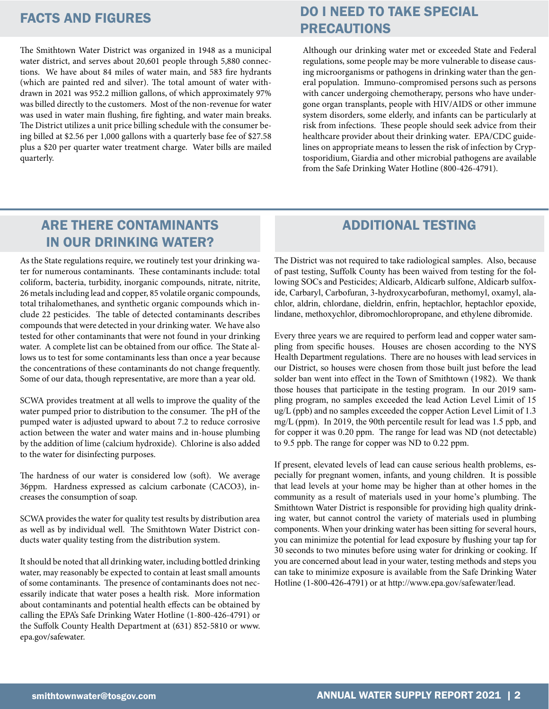The Smithtown Water District was organized in 1948 as a municipal water district, and serves about 20,601 people through 5,880 connections. We have about 84 miles of water main, and 583 fire hydrants (which are painted red and silver). The total amount of water withdrawn in 2021 was 952.2 million gallons, of which approximately 97% was billed directly to the customers. Most of the non-revenue for water was used in water main flushing, fire fighting, and water main breaks. The District utilizes a unit price billing schedule with the consumer being billed at \$2.56 per 1,000 gallons with a quarterly base fee of \$27.58 plus a \$20 per quarter water treatment charge. Water bills are mailed quarterly.

## FACTS AND FIGURES DO I NEED TO TAKE SPECIAL PRECAUTIONS

Although our drinking water met or exceeded State and Federal regulations, some people may be more vulnerable to disease causing microorganisms or pathogens in drinking water than the general population. Immuno-compromised persons such as persons with cancer undergoing chemotherapy, persons who have undergone organ transplants, people with HIV/AIDS or other immune system disorders, some elderly, and infants can be particularly at risk from infections. These people should seek advice from their healthcare provider about their drinking water. EPA/CDC guidelines on appropriate means to lessen the risk of infection by Cryptosporidium, Giardia and other microbial pathogens are available from the Safe Drinking Water Hotline (800-426-4791).

### ARE THERE CONTAMINANTS IN OUR DRINKING WATER?

As the State regulations require, we routinely test your drinking water for numerous contaminants. These contaminants include: total coliform, bacteria, turbidity, inorganic compounds, nitrate, nitrite, 26 metals including lead and copper, 85 volatile organic compounds, total trihalomethanes, and synthetic organic compounds which include 22 pesticides. The table of detected contaminants describes compounds that were detected in your drinking water. We have also tested for other contaminants that were not found in your drinking water. A complete list can be obtained from our office. The State allows us to test for some contaminants less than once a year because the concentrations of these contaminants do not change frequently. Some of our data, though representative, are more than a year old.

SCWA provides treatment at all wells to improve the quality of the water pumped prior to distribution to the consumer. The pH of the pumped water is adjusted upward to about 7.2 to reduce corrosive action between the water and water mains and in-house plumbing by the addition of lime (calcium hydroxide). Chlorine is also added to the water for disinfecting purposes.

The hardness of our water is considered low (soft). We average 36ppm. Hardness expressed as calcium carbonate (CACO3), increases the consumption of soap.

SCWA provides the water for quality test results by distribution area as well as by individual well. The Smithtown Water District conducts water quality testing from the distribution system.

It should be noted that all drinking water, including bottled drinking water, may reasonably be expected to contain at least small amounts of some contaminants. The presence of contaminants does not necessarily indicate that water poses a health risk. More information about contaminants and potential health effects can be obtained by calling the EPA's Safe Drinking Water Hotline (1-800-426-4791) or the Suffolk County Health Department at (631) 852-5810 or www. epa.gov/safewater.

#### ADDITIONAL TESTING

The District was not required to take radiological samples. Also, because of past testing, Suffolk County has been waived from testing for the following SOCs and Pesticides; Aldicarb, Aldicarb sulfone, Aldicarb sulfoxide, Carbaryl, Carbofuran, 3-hydroxycarbofuran, methomyl, oxamyl, alachlor, aldrin, chlordane, dieldrin, enfrin, heptachlor, heptachlor epoxide, lindane, methoxychlor, dibromochloropropane, and ethylene dibromide.

Every three years we are required to perform lead and copper water sampling from specific houses. Houses are chosen according to the NYS Health Department regulations. There are no houses with lead services in our District, so houses were chosen from those built just before the lead solder ban went into effect in the Town of Smithtown (1982). We thank those houses that participate in the testing program. In our 2019 sampling program, no samples exceeded the lead Action Level Limit of 15 ug/L (ppb) and no samples exceeded the copper Action Level Limit of 1.3 mg/L (ppm). In 2019, the 90th percentile result for lead was 1.5 ppb, and for copper it was 0.20 ppm. The range for lead was ND (not detectable) to 9.5 ppb. The range for copper was ND to 0.22 ppm.

If present, elevated levels of lead can cause serious health problems, especially for pregnant women, infants, and young children. It is possible that lead levels at your home may be higher than at other homes in the community as a result of materials used in your home's plumbing. The Smithtown Water District is responsible for providing high quality drinking water, but cannot control the variety of materials used in plumbing components. When your drinking water has been sitting for several hours, you can minimize the potential for lead exposure by flushing your tap for 30 seconds to two minutes before using water for drinking or cooking. If you are concerned about lead in your water, testing methods and steps you can take to minimize exposure is available from the Safe Drinking Water Hotline (1-800-426-4791) or at http://www.epa.gov/safewater/lead.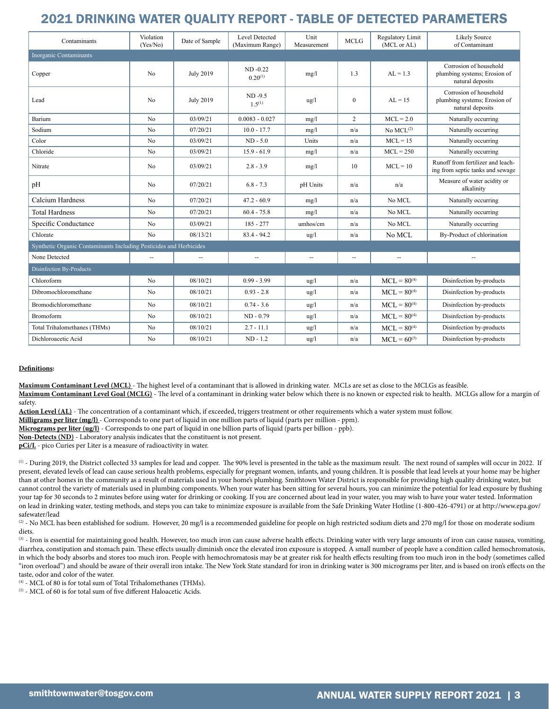#### 2021 DRINKING WATER QUALITY REPORT - TABLE OF DETECTED PARAMETERS

| Contaminants                                                       | Violation<br>(Yes/No) | Date of Sample           | Level Detected<br>(Maximum Range) | Unit<br>Measurement      | <b>MCLG</b>              | Regulatory Limit<br>(MCL or AL) | <b>Likely Source</b><br>of Contaminant                                     |
|--------------------------------------------------------------------|-----------------------|--------------------------|-----------------------------------|--------------------------|--------------------------|---------------------------------|----------------------------------------------------------------------------|
| <b>Inorganic Contaminants</b>                                      |                       |                          |                                   |                          |                          |                                 |                                                                            |
| Copper                                                             | N <sub>o</sub>        | <b>July 2019</b>         | $ND -0.22$<br>$0.20^{(1)}$        | mg/l                     | 1.3                      | $AL = 1.3$                      | Corrosion of household<br>plumbing systems; Erosion of<br>natural deposits |
| Lead                                                               | N <sub>o</sub>        | <b>July 2019</b>         | $ND -9.5$<br>$1.5^{(1)}$          | $\frac{u}{g}$            | $\boldsymbol{0}$         | $AL = 15$                       | Corrosion of household<br>plumbing systems; Erosion of<br>natural deposits |
| Barium                                                             | N <sub>o</sub>        | 03/09/21                 | $0.0083 - 0.027$                  | mg/l                     | $\overline{2}$           | $MCL = 2.0$                     | Naturally occurring                                                        |
| Sodium                                                             | N <sub>0</sub>        | 07/20/21                 | $10.0 - 17.7$                     | mg/l                     | n/a                      | No $MCL^{(2)}$                  | Naturally occurring                                                        |
| Color                                                              | N <sub>o</sub>        | 03/09/21                 | $ND - 5.0$                        | Units                    | n/a                      | $MCL = 15$                      | Naturally occurring                                                        |
| Chloride                                                           | N <sub>o</sub>        | 03/09/21                 | $15.9 - 61.9$                     | mg/l                     | n/a                      | $MCL = 250$                     | Naturally occurring                                                        |
| Nitrate                                                            | No                    | 03/09/21                 | $2.8 - 3.9$                       | mg/l                     | 10                       | $MCL = 10$                      | Runoff from fertilizer and leach-<br>ing from septic tanks and sewage      |
| pH                                                                 | N <sub>o</sub>        | 07/20/21                 | $6.8 - 7.3$                       | pH Units                 | n/a                      | n/a                             | Measure of water acidity or<br>alkalinity                                  |
| Calcium Hardness                                                   | N <sub>o</sub>        | 07/20/21                 | $47.2 - 60.9$                     | mg/l                     | n/a                      | No MCL                          | Naturally occurring                                                        |
| <b>Total Hardness</b>                                              | N <sub>o</sub>        | 07/20/21                 | $60.4 - 75.8$                     | mg/l                     | n/a                      | No MCL                          | Naturally occurring                                                        |
| Specific Conductance                                               | No                    | 03/09/21                 | $185 - 277$                       | umhos/cm                 | n/a                      | No MCL                          | Naturally occurring                                                        |
| Chlorate                                                           | N <sub>o</sub>        | 08/13/21                 | $83.4 - 94.2$                     | $\frac{u}{g}$            | n/a                      | No MCL                          | By-Product of chlorination                                                 |
| Synthetic Organic Contaminants Including Pesticides and Herbicides |                       |                          |                                   |                          |                          |                                 |                                                                            |
| None Detected                                                      | --                    | $\overline{\phantom{a}}$ | $\overline{\phantom{a}}$          | $\overline{\phantom{a}}$ | $\overline{\phantom{a}}$ | --                              |                                                                            |
| Disinfection By-Products                                           |                       |                          |                                   |                          |                          |                                 |                                                                            |
| Chloroform                                                         | N <sub>o</sub>        | 08/10/21                 | $0.99 - 3.99$                     | $\frac{u}{g}$            | n/a                      | $MCL = 80^{(4)}$                | Disinfection by-products                                                   |
| Dibromochloromethane                                               | N <sub>o</sub>        | 08/10/21                 | $0.93 - 2.8$                      | $\frac{u}{g}$            | n/a                      | $MCL = 80^{(4)}$                | Disinfection by-products                                                   |
| <b>Bromodichloromethane</b>                                        | N <sub>0</sub>        | 08/10/21                 | $0.74 - 3.6$                      | $\frac{u}{g}$            | n/a                      | $MCL = 80^{(4)}$                | Disinfection by-products                                                   |
| <b>Bromoform</b>                                                   | N <sub>o</sub>        | 08/10/21                 | $ND - 0.79$                       | ug/l                     | n/a                      | $MCL = 80^{(4)}$                | Disinfection by-products                                                   |
| <b>Total Trihalomethanes (THMs)</b>                                | No                    | 08/10/21                 | $2.7 - 11.1$                      | $\frac{u}{g}$            | n/a                      | $MCL = 80^{(4)}$                | Disinfection by-products                                                   |
| Dichloroacetic Acid                                                | No                    | 08/10/21                 | $ND - 1.2$                        | $\frac{u g}{l}$          | n/a                      | $MCL = 60^{(5)}$                | Disinfection by-products                                                   |

#### **Definitions:**

**Maximum Contaminant Level (MCL)** - The highest level of a contaminant that is allowed in drinking water. MCLs are set as close to the MCLGs as feasible. **Maximum Contaminant Level Goal (MCLG)** - The level of a contaminant in drinking water below which there is no known or expected risk to health. MCLGs allow for a margin of safety.

**Action Level (AL)** - The concentration of a contaminant which, if exceeded, triggers treatment or other requirements which a water system must follow.

**Milligrams per liter (mg/l)** - Corresponds to one part of liquid in one million parts of liquid (parts per million - ppm).

**Micrograms per liter (ug/l)** - Corresponds to one part of liquid in one billion parts of liquid (parts per billion - ppb).

**Non-Detects (ND)** - Laboratory analysis indicates that the constituent is not present.

**pCi/L** - pico Curies per Liter is a measure of radioactivity in water.

(1) - During 2019, the District collected 33 samples for lead and copper. The 90% level is presented in the table as the maximum result. The next round of samples will occur in 2022. If present, elevated levels of lead can cause serious health problems, especially for pregnant women, infants, and young children. It is possible that lead levels at your home may be higher than at other homes in the community as a result of materials used in your home's plumbing. Smithtown Water District is responsible for providing high quality drinking water, but cannot control the variety of materials used in plumbing components. When your water has been sitting for several hours, you can minimize the potential for lead exposure by flushing your tap for 30 seconds to 2 minutes before using water for drinking or cooking. If you are concerned about lead in your water, you may wish to have your water tested. Information on lead in drinking water, testing methods, and steps you can take to minimize exposure is available from the Safe Drinking Water Hotline (1-800-426-4791) or at http://www.epa.gov/ safewater/lead

(2) - No MCL has been established for sodium. However, 20 mg/l is a recommended guideline for people on high restricted sodium diets and 270 mg/l for those on moderate sodium diets.

(3) - Iron is essential for maintaining good health. However, too much iron can cause adverse health effects. Drinking water with very large amounts of iron can cause nausea, vomiting, diarrhea, constipation and stomach pain. These effects usually diminish once the elevated iron exposure is stopped. A small number of people have a condition called hemochromatosis, in which the body absorbs and stores too much iron. People with hemochromatosis may be at greater risk for health effects resulting from too much iron in the body (sometimes called "iron overload") and should be aware of their overall iron intake. The New York State standard for iron in drinking water is 300 micrograms per liter, and is based on iron's effects on the taste, odor and color of the water.

(4) - MCL of 80 is for total sum of Total Trihalomethanes (THMs).

(5) - MCL of 60 is for total sum of five different Haloacetic Acids.